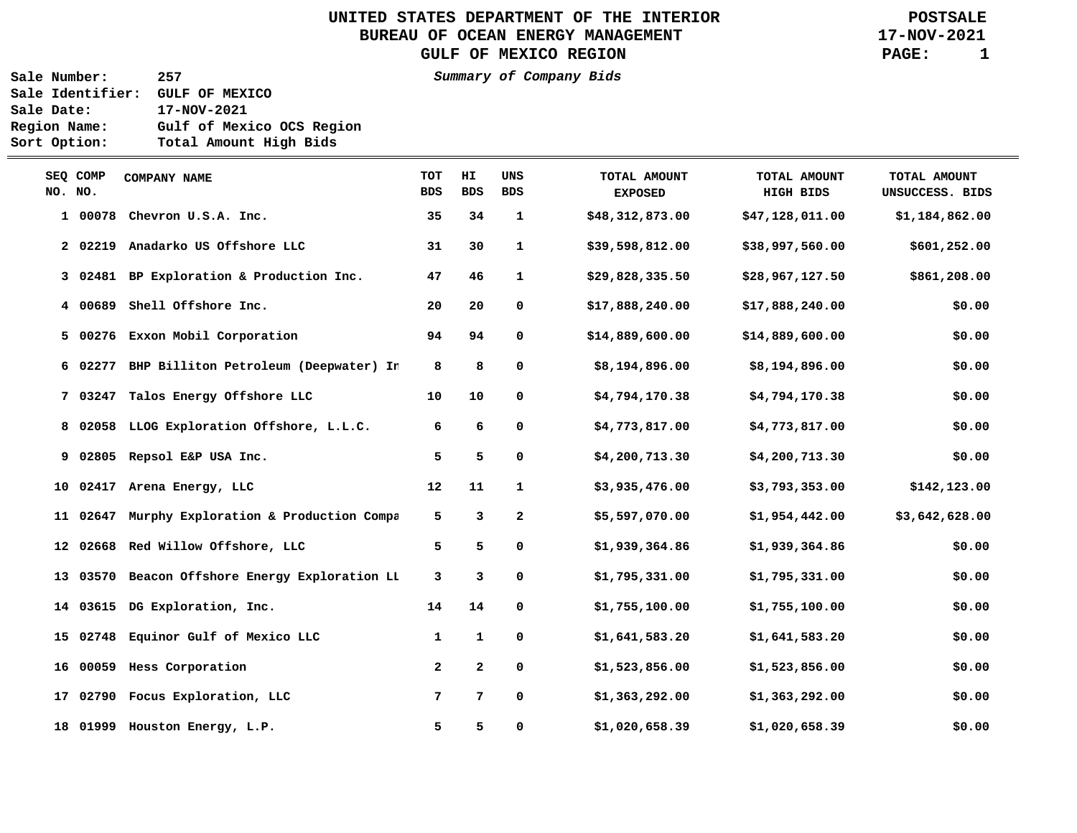UNITED STATES DEPARTMENT OF THE INTERIOR **POSTSALE**<br>BUREAU OF OCEAN ENERGY MANAGEMENT **POSTSALE** BUREAU OF OCEAN ENERGY MANAGEMENT GULF OF MEXICO REGION **PAGE:** 1

**Sale Number: 257 Summary of Company Bids Sale Identifier: GULF OF MEXICO Sale Date: 17-NOV-2021 Region Name: Gulf of Mexico OCS Region Sort Option: Total Amount High Bids** 

 $\equiv$ 

| NO. NO. | SEQ COMP | COMPANY NAME                                   | <b>TOT</b><br><b>BDS</b> | HI.<br><b>BDS</b> | UNS<br><b>BDS</b> | TOTAL AMOUNT<br><b>EXPOSED</b> | TOTAL AMOUNT<br>HIGH BIDS | TOTAL AMOUNT<br>UNSUCCESS. BIDS |
|---------|----------|------------------------------------------------|--------------------------|-------------------|-------------------|--------------------------------|---------------------------|---------------------------------|
|         | 1 00078  | Chevron U.S.A. Inc.                            | 35                       | 34                | 1                 | \$48,312,873.00                | \$47,128,011.00           | \$1,184,862.00                  |
|         |          | 2 02219 Anadarko US Offshore LLC               | 31                       | 30                | $\mathbf{1}$      | \$39,598,812.00                | \$38,997,560.00           | \$601,252.00                    |
|         |          | 3 02481 BP Exploration & Production Inc.       | 47                       | 46                | $\mathbf{1}$      | \$29,828,335.50                | \$28,967,127.50           | \$861,208.00                    |
|         |          | 4 00689 Shell Offshore Inc.                    | 20                       | 20                | 0                 | \$17,888,240.00                | \$17,888,240.00           | \$0.00                          |
|         |          | 5 00276 Exxon Mobil Corporation                | 94                       | 94                | 0                 | \$14,889,600.00                | \$14,889,600.00           | \$0.00                          |
|         |          | 6 02277 BHP Billiton Petroleum (Deepwater) In  | 8                        | 8                 | 0                 | \$8,194,896.00                 | \$8,194,896.00            | \$0.00                          |
|         |          | 7 03247 Talos Energy Offshore LLC              | 10                       | 10                | 0                 | \$4,794,170.38                 | \$4,794,170.38            | \$0.00                          |
|         |          | 8 02058 LLOG Exploration Offshore, L.L.C.      | 6                        | 6                 | 0                 | \$4,773,817.00                 | \$4,773,817.00            | \$0.00                          |
|         |          | 9 02805 Repsol E&P USA Inc.                    | 5                        | 5                 | 0                 | \$4,200,713.30                 | \$4,200,713.30            | \$0.00                          |
|         |          | 10 02417 Arena Energy, LLC                     | 12                       | 11                | $\mathbf{1}$      | \$3,935,476.00                 | \$3,793,353.00            | \$142,123.00                    |
|         |          | 11 02647 Murphy Exploration & Production Compa | 5                        | 3                 | $\mathbf{2}$      | \$5,597,070.00                 | \$1,954,442.00            | \$3,642,628.00                  |
|         |          | 12 02668 Red Willow Offshore, LLC              | 5                        | 5                 | 0                 | \$1,939,364.86                 | \$1,939,364.86            | \$0.00                          |
|         |          | 13 03570 Beacon Offshore Energy Exploration LL | 3                        | 3                 | 0                 | \$1,795,331.00                 | \$1,795,331.00            | \$0.00                          |
|         |          | 14 03615 DG Exploration, Inc.                  | 14                       | 14                | 0                 | \$1,755,100.00                 | \$1,755,100.00            | \$0.00                          |
|         |          | 15 02748 Equinor Gulf of Mexico LLC            | 1                        | 1                 | 0                 | \$1,641,583.20                 | \$1,641,583.20            | \$0.00                          |
|         |          | 16 00059 Hess Corporation                      | $\mathbf{2}$             | $\mathbf{2}$      | 0                 | \$1,523,856.00                 | \$1,523,856.00            | \$0.00                          |
|         |          | 17 02790 Focus Exploration, LLC                | 7                        | 7                 | 0                 | \$1,363,292.00                 | \$1,363,292.00            | \$0.00                          |
|         |          | 18 01999 Houston Energy, L.P.                  | 5                        | 5                 | 0                 | \$1,020,658.39                 | \$1,020,658.39            | \$0.00                          |